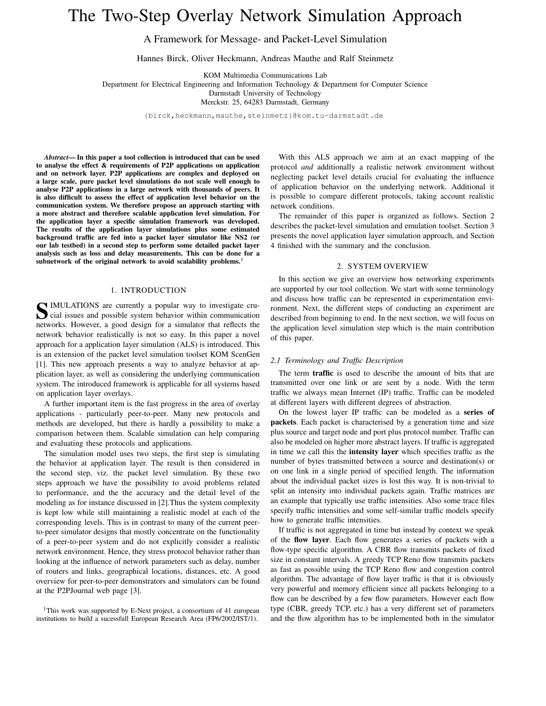# The Two-Step Overlay Network Simulation Approach

A Framework for Message- and Packet-Level Simulation

Hannes Birck, Oliver Heckmann, Andreas Mauthe and Ralf Steinmetz

KOM Multimedia Communications Lab

Department for Electrical Engineering and Information Technology & Department for Computer Science

Darmstadt University of Technology

Merckstr. 25, 64283 Darmstadt, Germany

{birck,heckmann,mauthe,steinmetz}@kom.tu-darmstadt.de

*Abstract***— In this paper a tool collection is introduced that can be used to analyse the effect & requirements of P2P applications on application and on network layer. P2P applications are complex and deployed on a large scale, pure packet level simulations do not scale well enough to analyse P2P applications in a large network with thousands of peers. It is also difficult to assess the effect of application level behavior on the communication system. We therefore propose an approach starting with a more abstract and therefore scalable application level simulation. For the application layer a specific simulation framework was developed. The results of the application layer simulations plus some estimated background traffic are fed into a packet layer simulator like NS2 (or our lab testbed) in a second step to perform some detailed packet layer analysis such as loss and delay measurements. This can be done for a subnetwork of the original network to avoid scalability problems.**<sup>1</sup>

# 1. INTRODUCTION

**S** IMULATIONS are currently a popular way to investigate cru-<br>cial issues and possible system behavior within communication cial issues and possible system behavior within communication networks. However, a good design for a simulator that reflects the network behavior realistically is not so easy. In this paper a novel approach for a application layer simulation (ALS) is introduced. This is an extension of the packet level simulation toolset KOM ScenGen [1]. This new approach presents a way to analyze behavior at application layer, as well as considering the underlying communication system. The introduced framework is applicable for all systems based on application layer overlays.

A further important item is the fast progress in the area of overlay applications - particularly peer-to-peer. Many new protocols and methods are developed, but there is hardly a possibility to make a comparison between them. Scalable simulation can help comparing and evaluating these protocols and applications.

The simulation model uses two steps, the first step is simulating the behavior at application layer. The result is then considered in the second step, viz. the packet level simulation. By these two steps approach we have the possibility to avoid problems related to performance, and the the accuracy and the detail level of the modeling as for instance discussed in [2].Thus the system complexity is kept low while still maintaining a realistic model at each of the corresponding levels. This is in contrast to many of the current peerto-peer simulator designs that mostly concentrate on the functionality of a peer-to-peer system and do not explicitly consider a realistic network environment. Hence, they stress protocol behavior rather than looking at the influence of network parameters such as delay, number of routers and links, geographical locations, distances, etc. A good overview for peer-to-peer demonstrators and simulators can be found at the P2PJournal web page [3].

<sup>1</sup>This work was supported by E-Next project, a consortium of 41 european institutions to build a sucessfull European Research Area (FP6/2002/IST/1).

With this ALS approach we aim at an exact mapping of the protocol *and* additionally a realistic network environment without neglecting packet level details crucial for evaluating the influence of application behavior on the underlying network. Additional it is possible to compare different protocols, taking account realistic network conditions.

The remainder of this paper is organized as follows. Section 2 describes the packet-level simulation and emulation toolset. Section 3 presents the novel application layer simulation approach, and Section 4 finished with the summary and the conclusion.

## 2. SYSTEM OVERVIEW

In this section we give an overview how networking experiments are supported by our tool collection. We start with some terminology and discuss how traffic can be represented in experimentation environment. Next, the different steps of conducting an experiment are described from beginning to end. In the next section, we will focus on the application level simulation step which is the main contribution of this paper.

#### *2.1 Terminology and Traffic Description*

The term **traffic** is used to describe the amount of bits that are transmitted over one link or are sent by a node. With the term traffic we always mean Internet (IP) traffic. Traffic can be modeled at different layers with different degrees of abstraction.

On the lowest layer IP traffic can be modeled as a **series of packets**. Each packet is characterised by a generation time and size plus source and target node and port plus protocol number. Traffic can also be modeled on higher more abstract layers. If traffic is aggregated in time we call this the **intensity layer** which specifies traffic as the number of bytes transmitted between a source and destination(s) or on one link in a single period of specified length. The information about the individual packet sizes is lost this way. It is non-trivial to split an intensity into individual packets again. Traffic matrices are an example that typically use traffic intensities. Also some trace files specify traffic intensities and some self-similar traffic models specify how to generate traffic intensities.

If traffic is not aggregated in time but instead by context we speak of the **flow layer**. Each flow generates a series of packets with a flow-type specific algorithm. A CBR flow transmits packets of fixed size in constant intervals. A greedy TCP Reno flow transmits packets as fast as possible using the TCP Reno flow and congestion control algorithm. The advantage of flow layer traffic is that it is obviously very powerful and memory efficient since all packets belonging to a flow can be described by a few flow parameters. However each flow type (CBR, greedy TCP, etc.) has a very different set of parameters and the flow algorithm has to be implemented both in the simulator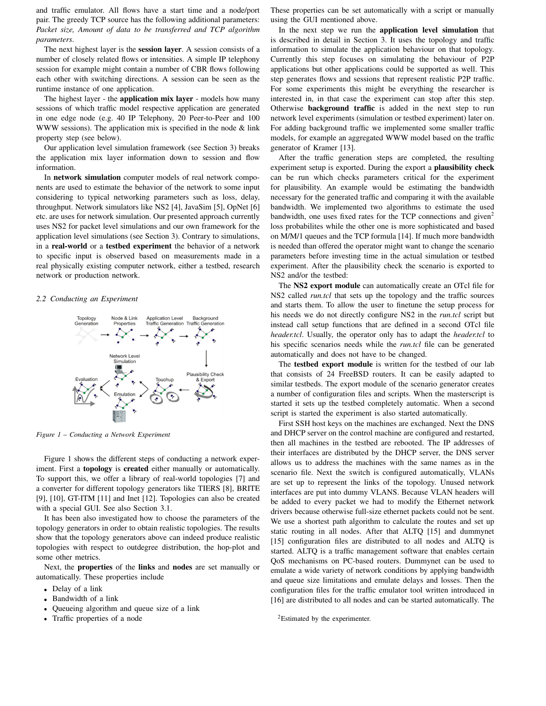and traffic emulator. All flows have a start time and a node/port pair. The greedy TCP source has the following additional parameters: *Packet size, Amount of data to be transferred and TCP algorithm parameters*.

The next highest layer is the **session layer**. A session consists of a number of closely related flows or intensities. A simple IP telephony session for example might contain a number of CBR flows following each other with switching directions. A session can be seen as the runtime instance of one application.

The highest layer - the **application mix layer** - models how many sessions of which traffic model respective application are generated in one edge node (e.g. 40 IP Telephony, 20 Peer-to-Peer and 100 WWW sessions). The application mix is specified in the node & link property step (see below).

Our application level simulation framework (see Section 3) breaks the application mix layer information down to session and flow information.

In **network simulation** computer models of real network components are used to estimate the behavior of the network to some input considering to typical networking parameters such as loss, delay, throughput. Network simulators like NS2 [4], JavaSim [5], OpNet [6] etc. are uses for network simulation. Our presented approach currently uses NS2 for packet level simulations and our own framework for the application level simulations (see Section 3). Contrary to simulations, in a **real-world** or a **testbed experiment** the behavior of a network to specific input is observed based on measurements made in a real physically existing computer network, either a testbed, research network or production network.

### *2.2 Conducting an Experiment*



*Figure 1* – *Conducting a Network Experiment*

Figure 1 shows the different steps of conducting a network experiment. First a **topology** is **created** either manually or automatically. To support this, we offer a library of real-world topologies [7] and a converter for different topology generators like TIERS [8], BRITE [9], [10], GT-ITM [11] and Inet [12]. Topologies can also be created with a special GUI. See also Section 3.1.

It has been also investigated how to choose the parameters of the topology generators in order to obtain realistic topologies. The results show that the topology generators above can indeed produce realistic topologies with respect to outdegree distribution, the hop-plot and some other metrics.

Next, the **properties** of the **links** and **nodes** are set manually or automatically. These properties include

- Delay of a link
- Bandwidth of a link
- Queueing algorithm and queue size of a link
- Traffic properties of a node

These properties can be set automatically with a script or manually using the GUI mentioned above.

In the next step we run the **application level simulation** that is described in detail in Section 3. It uses the topology and traffic information to simulate the application behaviour on that topology. Currently this step focuses on simulating the behaviour of P2P applications but other applications could be supported as well. This step generates flows and sessions that represent realistic P2P traffic. For some experiments this might be everything the researcher is interested in, in that case the experiment can stop after this step. Otherwise **background traffic** is added in the next step to run network level experiments (simulation or testbed experiment) later on. For adding background traffic we implemented some smaller traffic models, for example an aggregated WWW model based on the traffic generator of Kramer [13].

After the traffic generation steps are completed, the resulting experiment setup is exported. During the export a **plausibility check** can be run which checks parameters critical for the experiment for plausibility. An example would be estimating the bandwidth necessary for the generated traffic and comparing it with the available bandwidth. We implemented two algorithms to estimate the used bandwidth, one uses fixed rates for the TCP connections and given<sup>2</sup> loss probabilites while the other one is more sophisticated and based on M/M/1 queues and the TCP formula [14]. If much more bandwidth is needed than offered the operator might want to change the scenario parameters before investing time in the actual simulation or testbed experiment. After the plausibility check the scenario is exported to NS2 and/or the testbed:

The **NS2 export module** can automatically create an OTcl file for NS2 called *run.tcl* that sets up the topology and the traffic sources and starts them. To allow the user to finetune the setup process for his needs we do not directly configure NS2 in the *run.tcl* script but instead call setup functions that are defined in a second OTcl file *header.tcl*. Usually, the operator only has to adapt the *header.tcl* to his specific scenarios needs while the *run.tcl* file can be generated automatically and does not have to be changed.

The **testbed export module** is written for the testbed of our lab that consists of 24 FreeBSD routers. It can be easily adapted to similar testbeds. The export module of the scenario generator creates a number of configuration files and scripts. When the masterscript is started it sets up the testbed completely automatic. When a second script is started the experiment is also started automatically.

First SSH host keys on the machines are exchanged. Next the DNS and DHCP server on the control machine are configured and restarted, then all machines in the testbed are rebooted. The IP addresses of their interfaces are distributed by the DHCP server, the DNS server allows us to address the machines with the same names as in the scenario file. Next the switch is configured automatically, VLANs are set up to represent the links of the topology. Unused network interfaces are put into dummy VLANS. Because VLAN headers will be added to every packet we had to modify the Ethernet network drivers because otherwise full-size ethernet packets could not be sent. We use a shortest path algorithm to calculate the routes and set up static routing in all nodes. After that ALTQ [15] and dummynet [15] configuration files are distributed to all nodes and ALTO is started. ALTQ is a traffic management software that enables certain QoS mechanisms on PC-based routers. Dummynet can be used to emulate a wide variety of network conditions by applying bandwidth and queue size limitations and emulate delays and losses. Then the configuration files for the traffic emulator tool written introduced in [16] are distributed to all nodes and can be started automatically. The

<sup>2</sup>Estimated by the experimenter.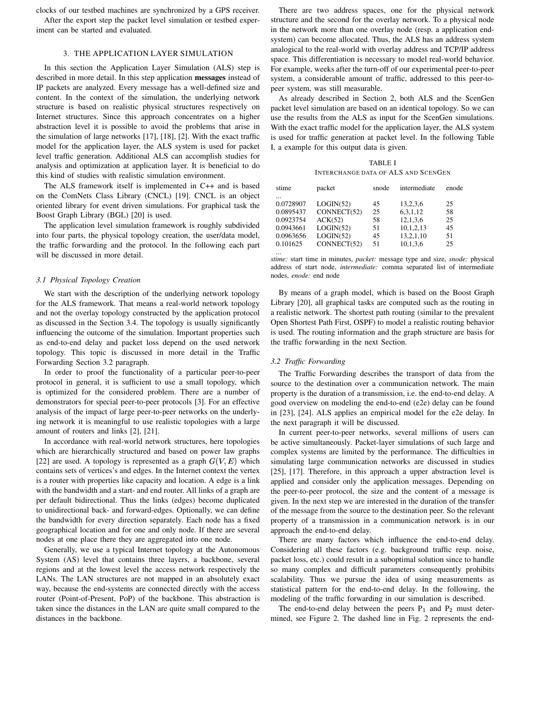clocks of our testbed machines are synchronized by a GPS receiver.

After the export step the packet level simulation or testbed experiment can be started and evaluated.

## 3. THE APPLICATION LAYER SIMULATION

In this section the Application Layer Simulation (ALS) step is described in more detail. In this step application **messages** instead of IP packets are analyzed. Every message has a well-defined size and content. In the context of the simulation, the underlying network structure is based on realistic physical structures respectively on Internet structures. Since this approach concentrates on a higher abstraction level it is possible to avoid the problems that arise in the simulation of large networks [17], [18], [2]. With the exact traffic model for the application layer, the ALS system is used for packet level traffic generation. Additional ALS can accomplish studies for analysis and optimization at application layer. It is beneficial to do this kind of studies with realistic simulation environment.

The ALS framework itself is implemented in C++ and is based on the ComNets Class Library (CNCL) [19]. CNCL is an object oriented library for event driven simulations. For graphical task the Boost Graph Library (BGL) [20] is used.

The application level simulation framework is roughly subdivided into four parts, the physical topology creation, the user/data model, the traffic forwarding and the protocol. In the following each part will be discussed in more detail.

# *3.1 Physical Topology Creation*

We start with the description of the underlying network topology for the ALS framework. That means a real-world network topology and not the overlay topology constructed by the application protocol as discussed in the Section 3.4. The topology is usually significantly influencing the outcome of the simulation. Important properties such as end-to-end delay and packet loss depend on the used network topology. This topic is discussed in more detail in the Traffic Forwarding Section 3.2 paragraph.

In order to proof the functionality of a particular peer-to-peer protocol in general, it is sufficient to use a small topology, which is optimized for the considered problem. There are a number of demonstrators for special peer-to-peer protocols [3]. For an effective analysis of the impact of large peer-to-peer networks on the underlying network it is meaningful to use realistic topologies with a large amount of routers and links [2], [21].

In accordance with real-world network structures, here topologies which are hierarchically structured and based on power law graphs [22] are used. A topology is represented as a graph  $G(V, E)$  which contains sets of vertices's and edges. In the Internet context the vertex is a router with properties like capacity and location. A edge is a link with the bandwidth and a start- and end router. All links of a graph are per default bidirectional. Thus the links (edges) become duplicated to unidirectional back- and forward-edges. Optionally, we can define the bandwidth for every direction separately. Each node has a fixed geographical location and for one and only node. If there are several nodes at one place there they are aggregated into one node.

Generally, we use a typical Internet topology at the Autonomous System (AS) level that contains three layers, a backbone, several regions and at the lowest level the access network respectively the LANs. The LAN structures are not mapped in an absolutely exact way, because the end-systems are connected directly with the access router (Point-of-Present, PoP) of the backbone. This abstraction is taken since the distances in the LAN are quite small compared to the distances in the backbone.

There are two address spaces, one for the physical network structure and the second for the overlay network. To a physical node in the network more than one overlay node (resp. a application endsystem) can become allocated. Thus, the ALS has an address system analogical to the real-world with overlay address and TCP/IP address space. This differentiation is necessary to model real-world behavior. For example, weeks after the turn-off of our experimental peer-to-peer system, a considerable amount of traffic, addressed to this peer-topeer system, was still measurable.

As already described in Section 2, both ALS and the ScenGen packet level simulation are based on an identical topology. So we can use the results from the ALS as input for the ScenGen simulations. With the exact traffic model for the application layer, the ALS system is used for traffic generation at packet level. In the following Table I, a example for this output data is given.

TABLE I INTERCHANGE DATA OF ALS AND SCENGEN

| stime     | packet      | snode | intermediate | enode |
|-----------|-------------|-------|--------------|-------|
| $\cdots$  |             |       |              |       |
| 0.0728907 | LOGIN(52)   | 45    | 13.2.3.6     | 25    |
| 0.0895437 | CONNECT(52) | 25    | 6, 3, 1, 12  | 58    |
| 0.0923754 | ACK(52)     | 58    | 12.1.3.6     | 25    |
| 0.0943661 | LOGIN(52)   | 51    | 10,1,2,13    | 45    |
| 0.0963656 | LOGIN(52)   | 45    | 13,2,1,10    | 51    |
| 0.101625  | CONNECT(52) | 51    | 10.1.3.6     | 25    |

... *stime:* start time in minutes, *packet:* message type and size, *snode:* physical address of start node, *intermediate:* comma separated list of intermediate nodes, *enode:* end node

By means of a graph model, which is based on the Boost Graph Library [20], all graphical tasks are computed such as the routing in a realistic network. The shortest path routing (similar to the prevalent Open Shortest Path First, OSPF) to model a realistic routing behavior is used. The routing information and the graph structure are basis for the traffic forwarding in the next Section.

# *3.2 Traffic Forwarding*

The Traffic Forwarding describes the transport of data from the source to the destination over a communication network. The main property is the duration of a transmission, i.e. the end-to-end delay. A good overview on modeling the end-to-end (e2e) delay can be found in [23], [24]. ALS applies an empirical model for the e2e delay. In the next paragraph it will be discussed.

In current peer-to-peer networks, several millions of users can be active simultaneously. Packet-layer simulations of such large and complex systems are limited by the performance. The difficulties in simulating large communication networks are discussed in studies [25], [17]. Therefore, in this approach a upper abstraction level is applied and consider only the application messages. Depending on the peer-to-peer protocol, the size and the content of a message is given. In the next step we are interested in the duration of the transfer of the message from the source to the destination peer. So the relevant property of a transmission in a communication network is in our approach the end-to-end delay.

There are many factors which influence the end-to-end delay. Considering all these factors (e.g. background traffic resp. noise, packet loss, etc.) could result in a suboptimal solution since to handle so many complex and difficult parameters consequently prohibits scalability. Thus we pursue the idea of using measurements as statistical pattern for the end-to-end delay. In the following, the modeling of the traffic forwarding in our simulation is described.

The end-to-end delay between the peers  $P_1$  and  $P_2$  must determined, see Figure 2. The dashed line in Fig. 2 represents the end-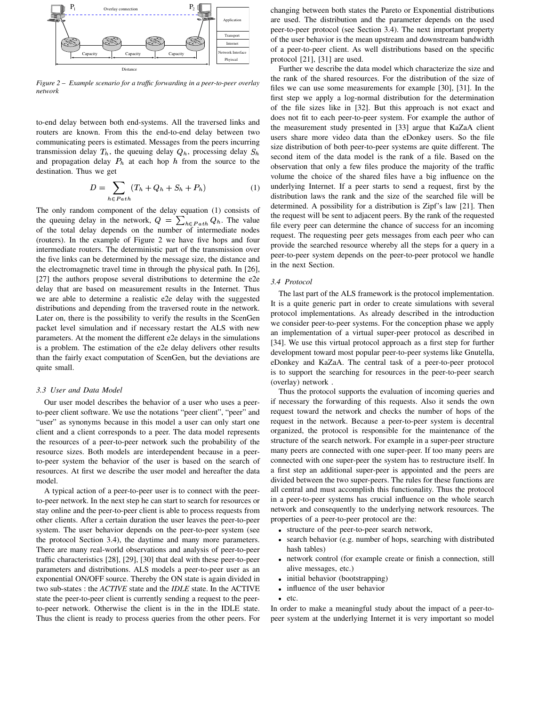

*Figure 2* – *Example scenario for a traffic forwarding in a peer-to-peer overlay network*

to-end delay between both end-systems. All the traversed links and routers are known. From this the end-to-end delay between two communicating peers is estimated. Messages from the peers incurring transmission delay  $T_h$ , the queuing delay  $Q_h$ , processing delay  $S_h$ and propagation delay  $P_h$  at each hop  $h$  from the source to the destination. Thus we get

$$
D = \sum_{h \in Path} (T_h + Q_h + S_h + P_h)
$$
 (1)

The only random component of the delay equation (1) consists of the queuing delay in the network,  $Q = \sum_{b \in Part} Q_b$ . The value of the total delay depends on the number of intermediate nodes (routers). In the example of Figure 2 we have five hops and four intermediate routers. The deterministic part of the transmission over the five links can be determined by the message size, the distance and the electromagnetic travel time in through the physical path. In [26], [27] the authors propose several distributions to determine the e2e delay that are based on measurement results in the Internet. Thus we are able to determine a realistic e2e delay with the suggested distributions and depending from the traversed route in the network. Later on, there is the possibility to verify the results in the ScenGen packet level simulation and if necessary restart the ALS with new parameters. At the moment the different e2e delays in the simulations is a problem. The estimation of the e2e delay delivers other results than the fairly exact computation of ScenGen, but the deviations are quite small.

#### *3.3 User and Data Model*

Our user model describes the behavior of a user who uses a peerto-peer client software. We use the notations "peer client", "peer" and "user" as synonyms because in this model a user can only start one client and a client corresponds to a peer. The data model represents the resources of a peer-to-peer network such the probability of the resource sizes. Both models are interdependent because in a peerto-peer system the behavior of the user is based on the search of resources. At first we describe the user model and hereafter the data model.

A typical action of a peer-to-peer user is to connect with the peerto-peer network. In the next step he can start to search for resources or stay online and the peer-to-peer client is able to process requests from other clients. After a certain duration the user leaves the peer-to-peer system. The user behavior depends on the peer-to-peer system (see the protocol Section 3.4), the daytime and many more parameters. There are many real-world observations and analysis of peer-to-peer traffic characteristics [28], [29], [30] that deal with these peer-to-peer parameters and distributions. ALS models a peer-to-peer user as an exponential ON/OFF source. Thereby the ON state is again divided in two sub-states : the *ACTIVE* state and the *IDLE* state. In the ACTIVE state the peer-to-peer client is currently sending a request to the peerto-peer network. Otherwise the client is in the in the IDLE state. Thus the client is ready to process queries from the other peers. For

changing between both states the Pareto or Exponential distributions are used. The distribution and the parameter depends on the used peer-to-peer protocol (see Section 3.4). The next important property of the user behavior is the mean upstream and downstream bandwidth of a peer-to-peer client. As well distributions based on the specific protocol [21], [31] are used.

Further we describe the data model which characterize the size and the rank of the shared resources. For the distribution of the size of files we can use some measurements for example [30], [31]. In the first step we apply a log-normal distribution for the determination of the file sizes like in [32]. But this approach is not exact and does not fit to each peer-to-peer system. For example the author of the measurement study presented in [33] argue that KaZaA client users share more video data than the eDonkey users. So the file size distribution of both peer-to-peer systems are quite different. The second item of the data model is the rank of a file. Based on the observation that only a few files produce the majority of the traffic volume the choice of the shared files have a big influence on the underlying Internet. If a peer starts to send a request, first by the distribution laws the rank and the size of the searched file will be determined. A possibility for a distribution is Zipf's law [21]. Then the request will be sent to adjacent peers. By the rank of the requested file every peer can determine the chance of success for an incoming request. The requesting peer gets messages from each peer who can provide the searched resource whereby all the steps for a query in a peer-to-peer system depends on the peer-to-peer protocol we handle in the next Section.

#### *3.4 Protocol*

The last part of the ALS framework is the protocol implementation. It is a quite generic part in order to create simulations with several protocol implementations. As already described in the introduction we consider peer-to-peer systems. For the conception phase we apply an implementation of a virtual super-peer protocol as described in [34]. We use this virtual protocol approach as a first step for further development toward most popular peer-to-peer systems like Gnutella, eDonkey and KaZaA. The central task of a peer-to-peer protocol is to support the searching for resources in the peer-to-peer search (overlay) network .

Thus the protocol supports the evaluation of incoming queries and if necessary the forwarding of this requests. Also it sends the own request toward the network and checks the number of hops of the request in the network. Because a peer-to-peer system is decentral organized, the protocol is responsible for the maintenance of the structure of the search network. For example in a super-peer structure many peers are connected with one super-peer. If too many peers are connected with one super-peer the system has to restructure itself. In a first step an additional super-peer is appointed and the peers are divided between the two super-peers. The rules for these functions are all central and must accomplish this functionality. Thus the protocol in a peer-to-peer systems has crucial influence on the whole search network and consequently to the underlying network resources. The properties of a peer-to-peer protocol are the:

- structure of the peer-to-peer search network,
- search behavior (e.g. number of hops, searching with distributed hash tables)
- network control (for example create or finish a connection, still alive messages, etc.)
- initial behavior (bootstrapping)
- influence of the user behavior
- $etc.$

In order to make a meaningful study about the impact of a peer-topeer system at the underlying Internet it is very important so model